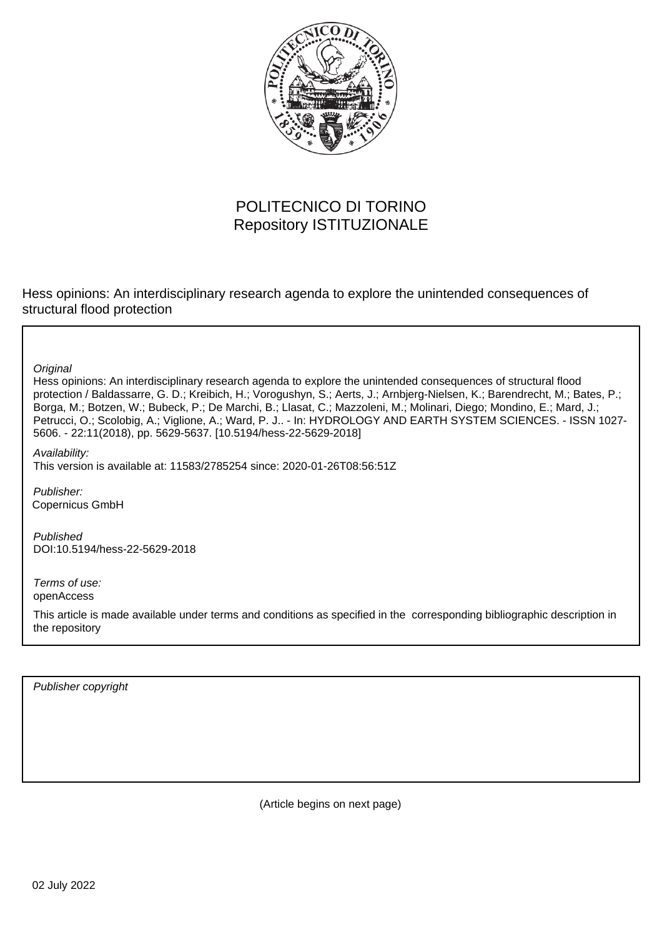

# POLITECNICO DI TORINO Repository ISTITUZIONALE

Hess opinions: An interdisciplinary research agenda to explore the unintended consequences of structural flood protection

**Original** 

Hess opinions: An interdisciplinary research agenda to explore the unintended consequences of structural flood protection / Baldassarre, G. D.; Kreibich, H.; Vorogushyn, S.; Aerts, J.; Arnbjerg-Nielsen, K.; Barendrecht, M.; Bates, P.; Borga, M.; Botzen, W.; Bubeck, P.; De Marchi, B.; Llasat, C.; Mazzoleni, M.; Molinari, Diego; Mondino, E.; Mard, J.; Petrucci, O.; Scolobig, A.; Viglione, A.; Ward, P. J.. - In: HYDROLOGY AND EARTH SYSTEM SCIENCES. - ISSN 1027- 5606. - 22:11(2018), pp. 5629-5637. [10.5194/hess-22-5629-2018]

Availability:

This version is available at: 11583/2785254 since: 2020-01-26T08:56:51Z

Publisher: Copernicus GmbH

Published DOI:10.5194/hess-22-5629-2018

Terms of use: openAccess

This article is made available under terms and conditions as specified in the corresponding bibliographic description in the repository

Publisher copyright

(Article begins on next page)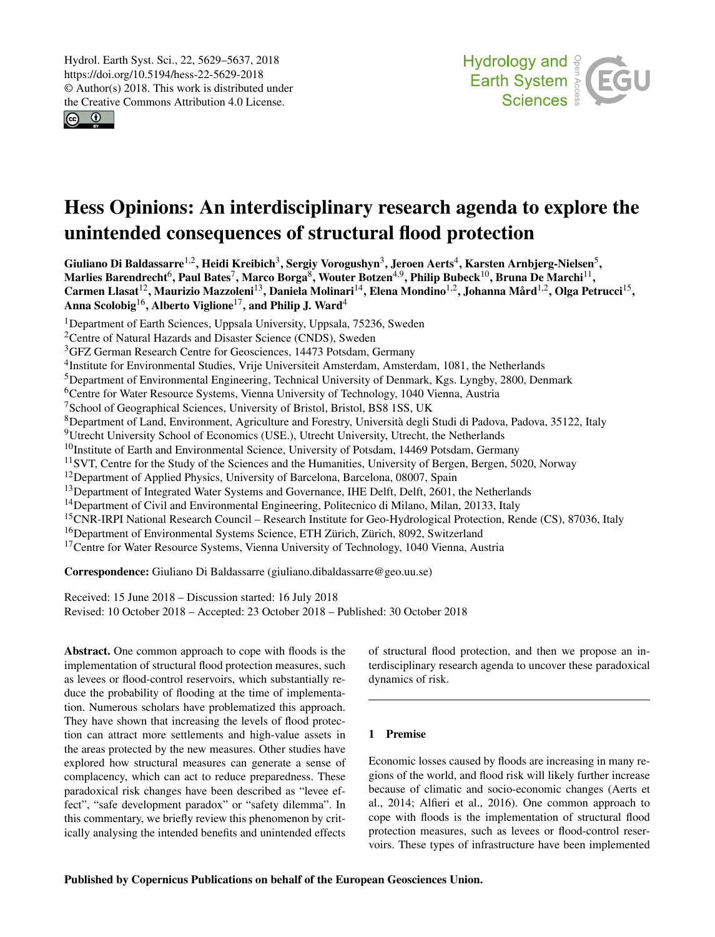$\boxed{6}$ 



# Hess Opinions: An interdisciplinary research agenda to explore the unintended consequences of structural flood protection

Giuliano Di Baldassarre<sup>1,2</sup>, Heidi Kreibich<sup>3</sup>, Sergiy Vorogushyn<sup>3</sup>, Jeroen Aerts<sup>4</sup>, Karsten Arnbjerg-Nielsen<sup>5</sup>, Marlies Barendrecht $^6$ , Paul Bates $^7$ , Marco Borga $^8$ , Wouter Botzen $^{4,9}$ , Philip Bubeck $^{10}$ , Bruna De Marchi $^{11},$ Carmen Llasat<sup>12</sup>, Maurizio Mazzoleni<sup>13</sup>, Daniela Molinari<sup>14</sup>, Elena Mondino<sup>1,2</sup>, Johanna Mård<sup>1,2</sup>, Olga Petrucci<sup>15</sup>, Anna Scolobig<sup>16</sup>, Alberto Viglione<sup>17</sup>, and Philip J. Ward<sup>4</sup>

<sup>1</sup>Department of Earth Sciences, Uppsala University, Uppsala, 75236, Sweden

- <sup>2</sup>Centre of Natural Hazards and Disaster Science (CNDS), Sweden
- <sup>3</sup>GFZ German Research Centre for Geosciences, 14473 Potsdam, Germany

<sup>4</sup>Institute for Environmental Studies, Vrije Universiteit Amsterdam, Amsterdam, 1081, the Netherlands

<sup>5</sup>Department of Environmental Engineering, Technical University of Denmark, Kgs. Lyngby, 2800, Denmark

<sup>6</sup>Centre for Water Resource Systems, Vienna University of Technology, 1040 Vienna, Austria

<sup>7</sup>School of Geographical Sciences, University of Bristol, Bristol, BS8 1SS, UK

<sup>8</sup>Department of Land, Environment, Agriculture and Forestry, Università degli Studi di Padova, Padova, 35122, Italy

<sup>9</sup>Utrecht University School of Economics (USE.), Utrecht University, Utrecht, the Netherlands

 $10$ Institute of Earth and Environmental Science, University of Potsdam, 14469 Potsdam, Germany

 $11$ SVT, Centre for the Study of the Sciences and the Humanities, University of Bergen, Bergen, 5020, Norway

<sup>12</sup>Department of Applied Physics, University of Barcelona, Barcelona, 08007, Spain

<sup>13</sup>Department of Integrated Water Systems and Governance, IHE Delft, Delft, 2601, the Netherlands

<sup>14</sup>Department of Civil and Environmental Engineering, Politecnico di Milano, Milan, 20133, Italy

- <sup>15</sup>CNR-IRPI National Research Council Research Institute for Geo-Hydrological Protection, Rende (CS), 87036, Italy
- <sup>16</sup>Department of Environmental Systems Science, ETH Zürich, Zürich, 8092, Switzerland

<sup>17</sup>Centre for Water Resource Systems, Vienna University of Technology, 1040 Vienna, Austria

Correspondence: Giuliano Di Baldassarre (giuliano.dibaldassarre@geo.uu.se)

Received: 15 June 2018 – Discussion started: 16 July 2018 Revised: 10 October 2018 – Accepted: 23 October 2018 – Published: 30 October 2018

Abstract. One common approach to cope with floods is the implementation of structural flood protection measures, such as levees or flood-control reservoirs, which substantially reduce the probability of flooding at the time of implementation. Numerous scholars have problematized this approach. They have shown that increasing the levels of flood protection can attract more settlements and high-value assets in the areas protected by the new measures. Other studies have explored how structural measures can generate a sense of complacency, which can act to reduce preparedness. These paradoxical risk changes have been described as "levee effect", "safe development paradox" or "safety dilemma". In this commentary, we briefly review this phenomenon by critically analysing the intended benefits and unintended effects

of structural flood protection, and then we propose an interdisciplinary research agenda to uncover these paradoxical dynamics of risk.

# 1 Premise

Economic losses caused by floods are increasing in many regions of the world, and flood risk will likely further increase because of climatic and socio-economic changes (Aerts et al., 2014; Alfieri et al., 2016). One common approach to cope with floods is the implementation of structural flood protection measures, such as levees or flood-control reservoirs. These types of infrastructure have been implemented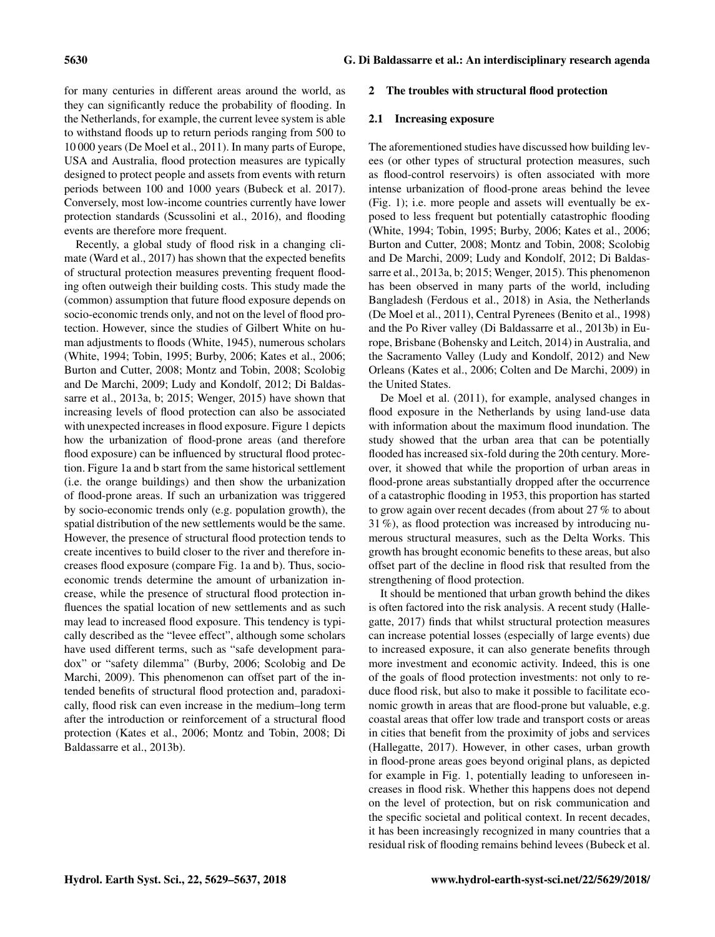for many centuries in different areas around the world, as they can significantly reduce the probability of flooding. In the Netherlands, for example, the current levee system is able to withstand floods up to return periods ranging from 500 to 10 000 years (De Moel et al., 2011). In many parts of Europe, USA and Australia, flood protection measures are typically designed to protect people and assets from events with return periods between 100 and 1000 years (Bubeck et al. 2017). Conversely, most low-income countries currently have lower protection standards (Scussolini et al., 2016), and flooding events are therefore more frequent.

Recently, a global study of flood risk in a changing climate (Ward et al., 2017) has shown that the expected benefits of structural protection measures preventing frequent flooding often outweigh their building costs. This study made the (common) assumption that future flood exposure depends on socio-economic trends only, and not on the level of flood protection. However, since the studies of Gilbert White on human adjustments to floods (White, 1945), numerous scholars (White, 1994; Tobin, 1995; Burby, 2006; Kates et al., 2006; Burton and Cutter, 2008; Montz and Tobin, 2008; Scolobig and De Marchi, 2009; Ludy and Kondolf, 2012; Di Baldassarre et al., 2013a, b; 2015; Wenger, 2015) have shown that increasing levels of flood protection can also be associated with unexpected increases in flood exposure. Figure 1 depicts how the urbanization of flood-prone areas (and therefore flood exposure) can be influenced by structural flood protection. Figure 1a and b start from the same historical settlement (i.e. the orange buildings) and then show the urbanization of flood-prone areas. If such an urbanization was triggered by socio-economic trends only (e.g. population growth), the spatial distribution of the new settlements would be the same. However, the presence of structural flood protection tends to create incentives to build closer to the river and therefore increases flood exposure (compare Fig. 1a and b). Thus, socioeconomic trends determine the amount of urbanization increase, while the presence of structural flood protection influences the spatial location of new settlements and as such may lead to increased flood exposure. This tendency is typically described as the "levee effect", although some scholars have used different terms, such as "safe development paradox" or "safety dilemma" (Burby, 2006; Scolobig and De Marchi, 2009). This phenomenon can offset part of the intended benefits of structural flood protection and, paradoxically, flood risk can even increase in the medium–long term after the introduction or reinforcement of a structural flood protection (Kates et al., 2006; Montz and Tobin, 2008; Di Baldassarre et al., 2013b).

#### 2 The troubles with structural flood protection

#### 2.1 Increasing exposure

The aforementioned studies have discussed how building levees (or other types of structural protection measures, such as flood-control reservoirs) is often associated with more intense urbanization of flood-prone areas behind the levee (Fig. 1); i.e. more people and assets will eventually be exposed to less frequent but potentially catastrophic flooding (White, 1994; Tobin, 1995; Burby, 2006; Kates et al., 2006; Burton and Cutter, 2008; Montz and Tobin, 2008; Scolobig and De Marchi, 2009; Ludy and Kondolf, 2012; Di Baldassarre et al., 2013a, b; 2015; Wenger, 2015). This phenomenon has been observed in many parts of the world, including Bangladesh (Ferdous et al., 2018) in Asia, the Netherlands (De Moel et al., 2011), Central Pyrenees (Benito et al., 1998) and the Po River valley (Di Baldassarre et al., 2013b) in Europe, Brisbane (Bohensky and Leitch, 2014) in Australia, and the Sacramento Valley (Ludy and Kondolf, 2012) and New Orleans (Kates et al., 2006; Colten and De Marchi, 2009) in the United States.

De Moel et al. (2011), for example, analysed changes in flood exposure in the Netherlands by using land-use data with information about the maximum flood inundation. The study showed that the urban area that can be potentially flooded has increased six-fold during the 20th century. Moreover, it showed that while the proportion of urban areas in flood-prone areas substantially dropped after the occurrence of a catastrophic flooding in 1953, this proportion has started to grow again over recent decades (from about 27 % to about 31 %), as flood protection was increased by introducing numerous structural measures, such as the Delta Works. This growth has brought economic benefits to these areas, but also offset part of the decline in flood risk that resulted from the strengthening of flood protection.

It should be mentioned that urban growth behind the dikes is often factored into the risk analysis. A recent study (Hallegatte, 2017) finds that whilst structural protection measures can increase potential losses (especially of large events) due to increased exposure, it can also generate benefits through more investment and economic activity. Indeed, this is one of the goals of flood protection investments: not only to reduce flood risk, but also to make it possible to facilitate economic growth in areas that are flood-prone but valuable, e.g. coastal areas that offer low trade and transport costs or areas in cities that benefit from the proximity of jobs and services (Hallegatte, 2017). However, in other cases, urban growth in flood-prone areas goes beyond original plans, as depicted for example in Fig. 1, potentially leading to unforeseen increases in flood risk. Whether this happens does not depend on the level of protection, but on risk communication and the specific societal and political context. In recent decades, it has been increasingly recognized in many countries that a residual risk of flooding remains behind levees (Bubeck et al.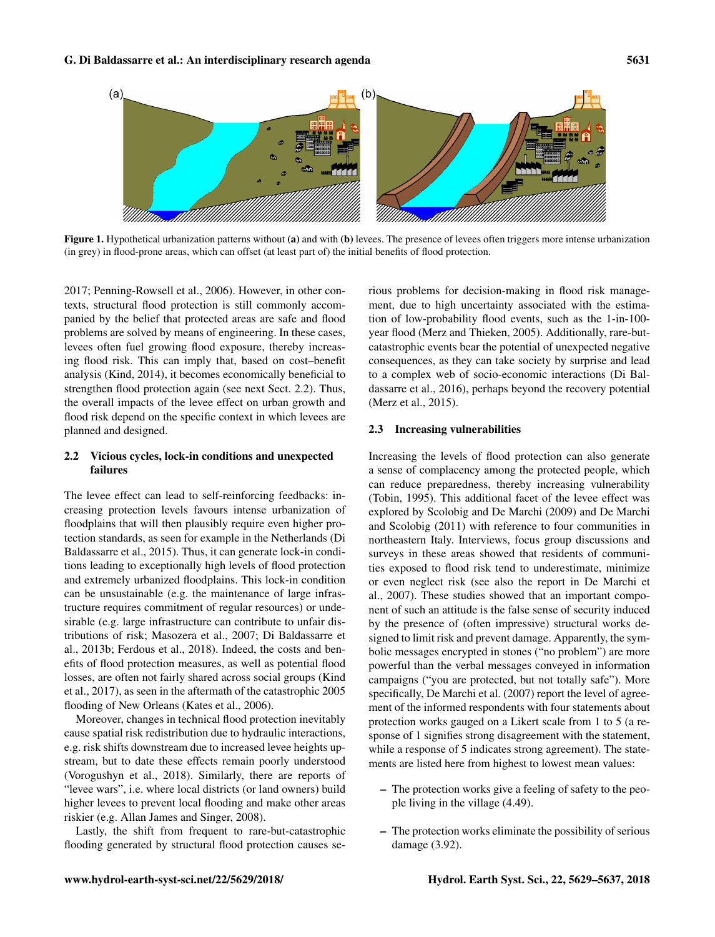

Figure 1. Hypothetical urbanization patterns without (a) and with (b) levees. The presence of levees often triggers more intense urbanization (in grey) in flood-prone areas, which can offset (at least part of) the initial benefits of flood protection.

2017; Penning-Rowsell et al., 2006). However, in other contexts, structural flood protection is still commonly accompanied by the belief that protected areas are safe and flood problems are solved by means of engineering. In these cases, levees often fuel growing flood exposure, thereby increasing flood risk. This can imply that, based on cost–benefit analysis (Kind, 2014), it becomes economically beneficial to strengthen flood protection again (see next Sect. 2.2). Thus, the overall impacts of the levee effect on urban growth and flood risk depend on the specific context in which levees are planned and designed.

# 2.2 Vicious cycles, lock-in conditions and unexpected failures

The levee effect can lead to self-reinforcing feedbacks: increasing protection levels favours intense urbanization of floodplains that will then plausibly require even higher protection standards, as seen for example in the Netherlands (Di Baldassarre et al., 2015). Thus, it can generate lock-in conditions leading to exceptionally high levels of flood protection and extremely urbanized floodplains. This lock-in condition can be unsustainable (e.g. the maintenance of large infrastructure requires commitment of regular resources) or undesirable (e.g. large infrastructure can contribute to unfair distributions of risk; Masozera et al., 2007; Di Baldassarre et al., 2013b; Ferdous et al., 2018). Indeed, the costs and benefits of flood protection measures, as well as potential flood losses, are often not fairly shared across social groups (Kind et al., 2017), as seen in the aftermath of the catastrophic 2005 flooding of New Orleans (Kates et al., 2006).

Moreover, changes in technical flood protection inevitably cause spatial risk redistribution due to hydraulic interactions, e.g. risk shifts downstream due to increased levee heights upstream, but to date these effects remain poorly understood (Vorogushyn et al., 2018). Similarly, there are reports of "levee wars", i.e. where local districts (or land owners) build higher levees to prevent local flooding and make other areas riskier (e.g. Allan James and Singer, 2008).

Lastly, the shift from frequent to rare-but-catastrophic flooding generated by structural flood protection causes serious problems for decision-making in flood risk management, due to high uncertainty associated with the estimation of low-probability flood events, such as the 1-in-100 year flood (Merz and Thieken, 2005). Additionally, rare-butcatastrophic events bear the potential of unexpected negative consequences, as they can take society by surprise and lead to a complex web of socio-economic interactions (Di Baldassarre et al., 2016), perhaps beyond the recovery potential (Merz et al., 2015).

#### 2.3 Increasing vulnerabilities

Increasing the levels of flood protection can also generate a sense of complacency among the protected people, which can reduce preparedness, thereby increasing vulnerability (Tobin, 1995). This additional facet of the levee effect was explored by Scolobig and De Marchi (2009) and De Marchi and Scolobig (2011) with reference to four communities in northeastern Italy. Interviews, focus group discussions and surveys in these areas showed that residents of communities exposed to flood risk tend to underestimate, minimize or even neglect risk (see also the report in De Marchi et al., 2007). These studies showed that an important component of such an attitude is the false sense of security induced by the presence of (often impressive) structural works designed to limit risk and prevent damage. Apparently, the symbolic messages encrypted in stones ("no problem") are more powerful than the verbal messages conveyed in information campaigns ("you are protected, but not totally safe"). More specifically, De Marchi et al. (2007) report the level of agreement of the informed respondents with four statements about protection works gauged on a Likert scale from 1 to 5 (a response of 1 signifies strong disagreement with the statement, while a response of 5 indicates strong agreement). The statements are listed here from highest to lowest mean values:

- The protection works give a feeling of safety to the people living in the village (4.49).
- The protection works eliminate the possibility of serious damage (3.92).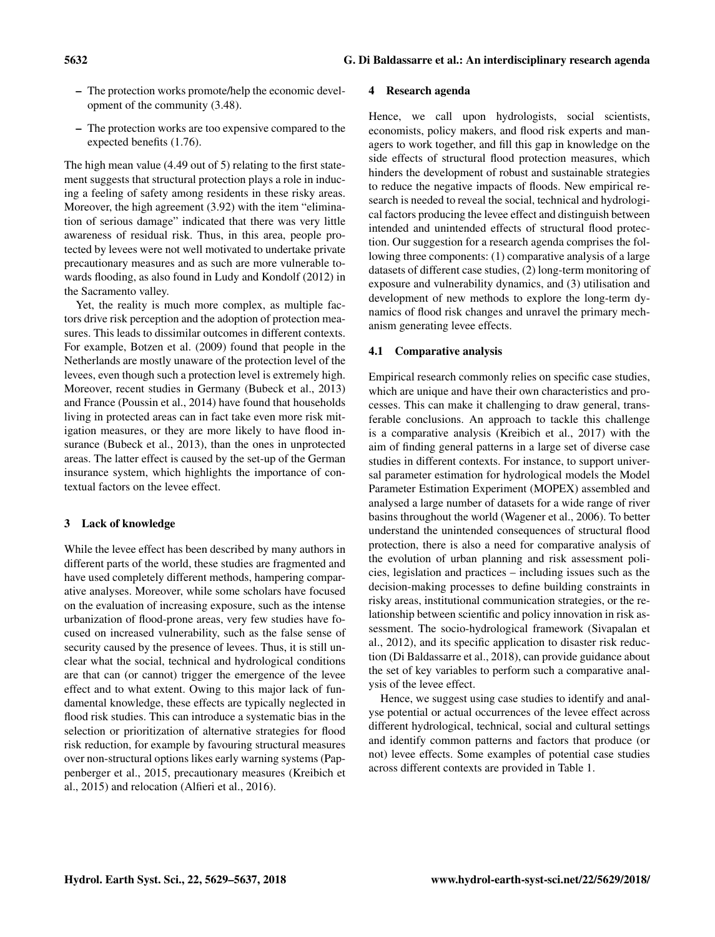- The protection works promote/help the economic development of the community (3.48).
- The protection works are too expensive compared to the expected benefits (1.76).

The high mean value (4.49 out of 5) relating to the first statement suggests that structural protection plays a role in inducing a feeling of safety among residents in these risky areas. Moreover, the high agreement (3.92) with the item "elimination of serious damage" indicated that there was very little awareness of residual risk. Thus, in this area, people protected by levees were not well motivated to undertake private precautionary measures and as such are more vulnerable towards flooding, as also found in Ludy and Kondolf (2012) in the Sacramento valley.

Yet, the reality is much more complex, as multiple factors drive risk perception and the adoption of protection measures. This leads to dissimilar outcomes in different contexts. For example, Botzen et al. (2009) found that people in the Netherlands are mostly unaware of the protection level of the levees, even though such a protection level is extremely high. Moreover, recent studies in Germany (Bubeck et al., 2013) and France (Poussin et al., 2014) have found that households living in protected areas can in fact take even more risk mitigation measures, or they are more likely to have flood insurance (Bubeck et al., 2013), than the ones in unprotected areas. The latter effect is caused by the set-up of the German insurance system, which highlights the importance of contextual factors on the levee effect.

### 3 Lack of knowledge

While the levee effect has been described by many authors in different parts of the world, these studies are fragmented and have used completely different methods, hampering comparative analyses. Moreover, while some scholars have focused on the evaluation of increasing exposure, such as the intense urbanization of flood-prone areas, very few studies have focused on increased vulnerability, such as the false sense of security caused by the presence of levees. Thus, it is still unclear what the social, technical and hydrological conditions are that can (or cannot) trigger the emergence of the levee effect and to what extent. Owing to this major lack of fundamental knowledge, these effects are typically neglected in flood risk studies. This can introduce a systematic bias in the selection or prioritization of alternative strategies for flood risk reduction, for example by favouring structural measures over non-structural options likes early warning systems (Pappenberger et al., 2015, precautionary measures (Kreibich et al., 2015) and relocation (Alfieri et al., 2016).

#### 4 Research agenda

Hence, we call upon hydrologists, social scientists, economists, policy makers, and flood risk experts and managers to work together, and fill this gap in knowledge on the side effects of structural flood protection measures, which hinders the development of robust and sustainable strategies to reduce the negative impacts of floods. New empirical research is needed to reveal the social, technical and hydrological factors producing the levee effect and distinguish between intended and unintended effects of structural flood protection. Our suggestion for a research agenda comprises the following three components: (1) comparative analysis of a large datasets of different case studies, (2) long-term monitoring of exposure and vulnerability dynamics, and (3) utilisation and development of new methods to explore the long-term dynamics of flood risk changes and unravel the primary mechanism generating levee effects.

#### 4.1 Comparative analysis

Empirical research commonly relies on specific case studies, which are unique and have their own characteristics and processes. This can make it challenging to draw general, transferable conclusions. An approach to tackle this challenge is a comparative analysis (Kreibich et al., 2017) with the aim of finding general patterns in a large set of diverse case studies in different contexts. For instance, to support universal parameter estimation for hydrological models the Model Parameter Estimation Experiment (MOPEX) assembled and analysed a large number of datasets for a wide range of river basins throughout the world (Wagener et al., 2006). To better understand the unintended consequences of structural flood protection, there is also a need for comparative analysis of the evolution of urban planning and risk assessment policies, legislation and practices – including issues such as the decision-making processes to define building constraints in risky areas, institutional communication strategies, or the relationship between scientific and policy innovation in risk assessment. The socio-hydrological framework (Sivapalan et al., 2012), and its specific application to disaster risk reduction (Di Baldassarre et al., 2018), can provide guidance about the set of key variables to perform such a comparative analysis of the levee effect.

Hence, we suggest using case studies to identify and analyse potential or actual occurrences of the levee effect across different hydrological, technical, social and cultural settings and identify common patterns and factors that produce (or not) levee effects. Some examples of potential case studies across different contexts are provided in Table 1.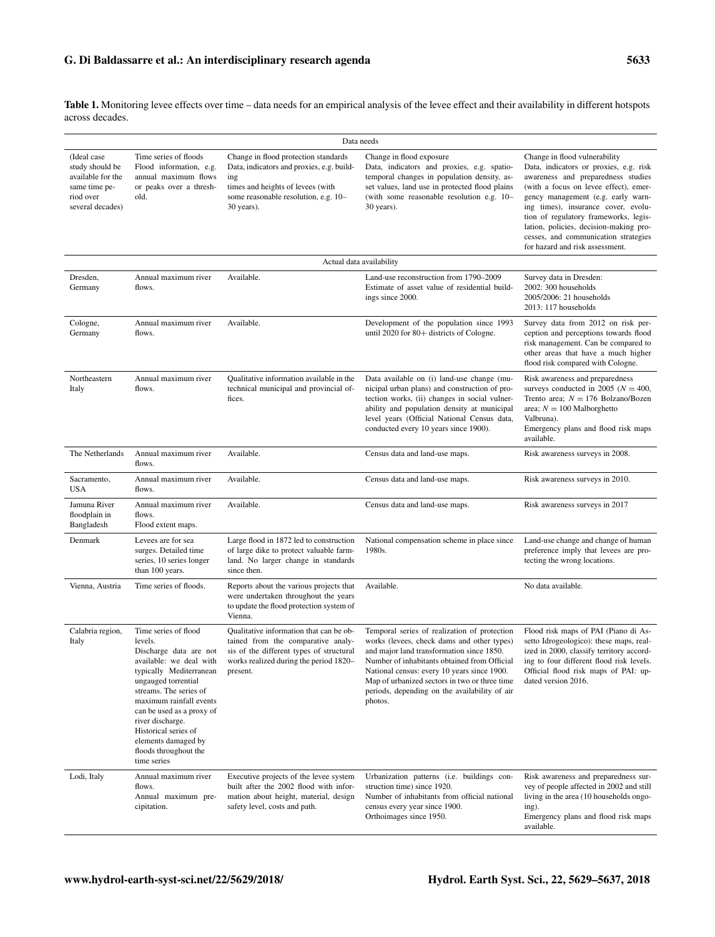Table 1. Monitoring levee effects over time – data needs for an empirical analysis of the levee effect and their availability in different hotspots across decades.

| Data needs                                                                                             |                                                                                                                                                                                                                                                                                                                                     |                                                                                                                                                                                     |                                                                                                                                                                                                                                                                                                                                                     |                                                                                                                                                                                                                                                                                                                                                                                                   |  |
|--------------------------------------------------------------------------------------------------------|-------------------------------------------------------------------------------------------------------------------------------------------------------------------------------------------------------------------------------------------------------------------------------------------------------------------------------------|-------------------------------------------------------------------------------------------------------------------------------------------------------------------------------------|-----------------------------------------------------------------------------------------------------------------------------------------------------------------------------------------------------------------------------------------------------------------------------------------------------------------------------------------------------|---------------------------------------------------------------------------------------------------------------------------------------------------------------------------------------------------------------------------------------------------------------------------------------------------------------------------------------------------------------------------------------------------|--|
| (Ideal case)<br>study should be<br>available for the<br>same time pe-<br>riod over<br>several decades) | Time series of floods<br>Flood information, e.g.<br>annual maximum flows<br>or peaks over a thresh-<br>old.                                                                                                                                                                                                                         | Change in flood protection standards<br>Data, indicators and proxies, e.g. build-<br>ing<br>times and heights of levees (with<br>some reasonable resolution, e.g. 10-<br>30 years). | Change in flood exposure<br>Data, indicators and proxies, e.g. spatio-<br>temporal changes in population density, as-<br>set values, land use in protected flood plains<br>(with some reasonable resolution e.g. 10-<br>30 years).                                                                                                                  | Change in flood vulnerability<br>Data, indicators or proxies, e.g. risk<br>awareness and preparedness studies<br>(with a focus on levee effect), emer-<br>gency management (e.g. early warn-<br>ing times), insurance cover, evolu-<br>tion of regulatory frameworks, legis-<br>lation, policies, decision-making pro-<br>cesses, and communication strategies<br>for hazard and risk assessment. |  |
| Actual data availability                                                                               |                                                                                                                                                                                                                                                                                                                                     |                                                                                                                                                                                     |                                                                                                                                                                                                                                                                                                                                                     |                                                                                                                                                                                                                                                                                                                                                                                                   |  |
| Dresden,<br>Germany                                                                                    | Annual maximum river<br>flows.                                                                                                                                                                                                                                                                                                      | Available.                                                                                                                                                                          | Land-use reconstruction from 1790-2009<br>Estimate of asset value of residential build-<br>ings since 2000.                                                                                                                                                                                                                                         | Survey data in Dresden:<br>2002: 300 households<br>2005/2006: 21 households<br>2013: 117 households                                                                                                                                                                                                                                                                                               |  |
| Cologne,<br>Germany                                                                                    | Annual maximum river<br>flows.                                                                                                                                                                                                                                                                                                      | Available.                                                                                                                                                                          | Development of the population since 1993<br>until 2020 for 80+ districts of Cologne.                                                                                                                                                                                                                                                                | Survey data from 2012 on risk per-<br>ception and perceptions towards flood<br>risk management. Can be compared to<br>other areas that have a much higher<br>flood risk compared with Cologne.                                                                                                                                                                                                    |  |
| Northeastern<br>Italy                                                                                  | Annual maximum river<br>flows.                                                                                                                                                                                                                                                                                                      | Qualitative information available in the<br>technical municipal and provincial of-<br>fices.                                                                                        | Data available on (i) land-use change (mu-<br>nicipal urban plans) and construction of pro-<br>tection works, (ii) changes in social vulner-<br>ability and population density at municipal<br>level years (Official National Census data,<br>conducted every 10 years since 1900).                                                                 | Risk awareness and preparedness<br>surveys conducted in 2005 ( $N = 400$ ,<br>Trento area; $N = 176$ Bolzano/Bozen<br>area; $N = 100$ Malborghetto<br>Valbruna).<br>Emergency plans and flood risk maps<br>available.                                                                                                                                                                             |  |
| The Netherlands                                                                                        | Annual maximum river<br>flows.                                                                                                                                                                                                                                                                                                      | Available.                                                                                                                                                                          | Census data and land-use maps.                                                                                                                                                                                                                                                                                                                      | Risk awareness surveys in 2008.                                                                                                                                                                                                                                                                                                                                                                   |  |
| Sacramento,<br><b>USA</b>                                                                              | Annual maximum river<br>flows.                                                                                                                                                                                                                                                                                                      | Available.                                                                                                                                                                          | Census data and land-use maps.                                                                                                                                                                                                                                                                                                                      | Risk awareness surveys in 2010.                                                                                                                                                                                                                                                                                                                                                                   |  |
| Jamuna River<br>floodplain in<br>Bangladesh                                                            | Annual maximum river<br>flows.<br>Flood extent maps.                                                                                                                                                                                                                                                                                | Available.                                                                                                                                                                          | Census data and land-use maps.                                                                                                                                                                                                                                                                                                                      | Risk awareness surveys in 2017                                                                                                                                                                                                                                                                                                                                                                    |  |
| Denmark                                                                                                | Levees are for sea<br>surges. Detailed time<br>series, 10 series longer<br>than 100 years.                                                                                                                                                                                                                                          | Large flood in 1872 led to construction<br>of large dike to protect valuable farm-<br>land. No larger change in standards<br>since then.                                            | National compensation scheme in place since<br>1980s.                                                                                                                                                                                                                                                                                               | Land-use change and change of human<br>preference imply that levees are pro-<br>tecting the wrong locations.                                                                                                                                                                                                                                                                                      |  |
| Vienna, Austria                                                                                        | Time series of floods.                                                                                                                                                                                                                                                                                                              | Reports about the various projects that<br>were undertaken throughout the years<br>to update the flood protection system of<br>Vienna.                                              | Available.                                                                                                                                                                                                                                                                                                                                          | No data available.                                                                                                                                                                                                                                                                                                                                                                                |  |
| Calabria region,<br>Italy                                                                              | Time series of flood<br>levels.<br>Discharge data are not<br>available: we deal with<br>typically Mediterranean<br>ungauged torrential<br>streams. The series of<br>maximum rainfall events<br>can be used as a proxy of<br>river discharge.<br>Historical series of<br>elements damaged by<br>floods throughout the<br>time series | Qualitative information that can be ob-<br>tained from the comparative analy-<br>sis of the different types of structural<br>works realized during the period 1820-<br>present.     | Temporal series of realization of protection<br>works (levees, check dams and other types)<br>and major land transformation since 1850.<br>Number of inhabitants obtained from Official<br>National census: every 10 years since 1900.<br>Map of urbanized sectors in two or three time<br>periods, depending on the availability of air<br>photos. | Flood risk maps of PAI (Piano di As-<br>setto Idrogeologico): these maps, real-<br>ized in 2000, classify territory accord-<br>ing to four different flood risk levels.<br>Official flood risk maps of PAI: up-<br>dated version 2016.                                                                                                                                                            |  |
| Lodi, Italy                                                                                            | Annual maximum river<br>flows.<br>Annual maximum pre-<br>cipitation.                                                                                                                                                                                                                                                                | Executive projects of the levee system<br>built after the 2002 flood with infor-<br>mation about height, material, design<br>safety level, costs and path.                          | Urbanization patterns (i.e. buildings con-<br>struction time) since 1920.<br>Number of inhabitants from official national<br>census every year since 1900.<br>Orthoimages since 1950.                                                                                                                                                               | Risk awareness and preparedness sur-<br>vey of people affected in 2002 and still<br>living in the area (10 households ongo-<br>ing).<br>Emergency plans and flood risk maps<br>available.                                                                                                                                                                                                         |  |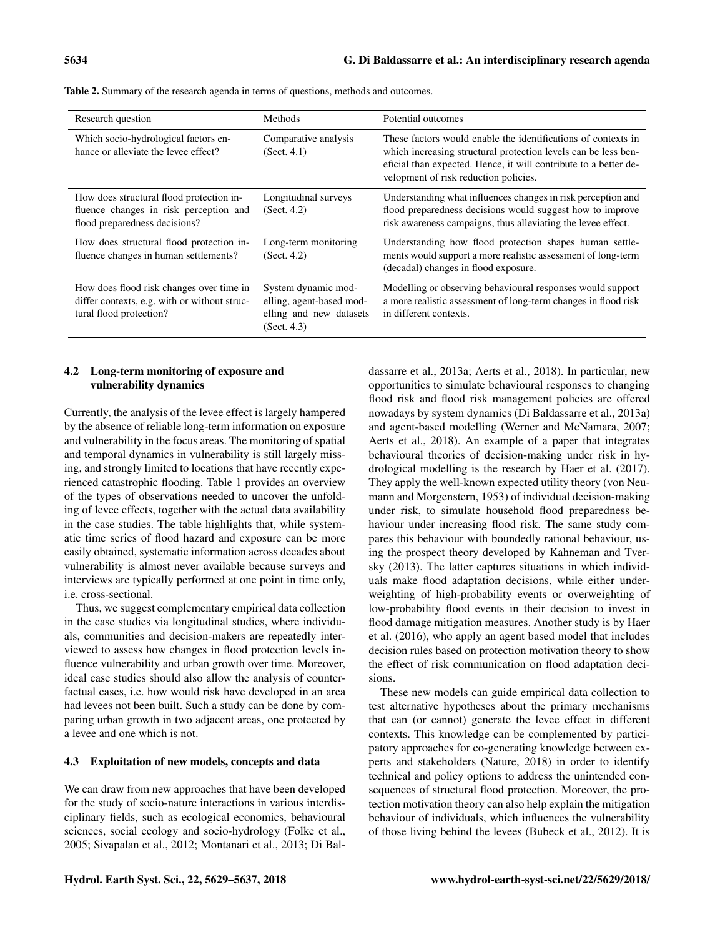| Research question                                                                                                   | <b>Methods</b>                                                                            | Potential outcomes                                                                                                                                                                                                                           |
|---------------------------------------------------------------------------------------------------------------------|-------------------------------------------------------------------------------------------|----------------------------------------------------------------------------------------------------------------------------------------------------------------------------------------------------------------------------------------------|
| Which socio-hydrological factors en-<br>hance or alleviate the levee effect?                                        | Comparative analysis<br>(Sect. 4.1)                                                       | These factors would enable the identifications of contexts in<br>which increasing structural protection levels can be less ben-<br>eficial than expected. Hence, it will contribute to a better de-<br>velopment of risk reduction policies. |
| How does structural flood protection in-<br>fluence changes in risk perception and<br>flood preparedness decisions? | Longitudinal surveys<br>(Sect. 4.2)                                                       | Understanding what influences changes in risk perception and<br>flood preparedness decisions would suggest how to improve<br>risk awareness campaigns, thus alleviating the levee effect.                                                    |
| How does structural flood protection in-<br>fluence changes in human settlements?                                   | Long-term monitoring<br>(Sect. 4.2)                                                       | Understanding how flood protection shapes human settle-<br>ments would support a more realistic assessment of long-term<br>(decadal) changes in flood exposure.                                                                              |
| How does flood risk changes over time in<br>differ contexts, e.g. with or without struc-<br>tural flood protection? | System dynamic mod-<br>elling, agent-based mod-<br>elling and new datasets<br>(Sect. 4.3) | Modelling or observing behavioural responses would support<br>a more realistic assessment of long-term changes in flood risk<br>in different contexts.                                                                                       |

Table 2. Summary of the research agenda in terms of questions, methods and outcomes.

# 4.2 Long-term monitoring of exposure and vulnerability dynamics

Currently, the analysis of the levee effect is largely hampered by the absence of reliable long-term information on exposure and vulnerability in the focus areas. The monitoring of spatial and temporal dynamics in vulnerability is still largely missing, and strongly limited to locations that have recently experienced catastrophic flooding. Table 1 provides an overview of the types of observations needed to uncover the unfolding of levee effects, together with the actual data availability in the case studies. The table highlights that, while systematic time series of flood hazard and exposure can be more easily obtained, systematic information across decades about vulnerability is almost never available because surveys and interviews are typically performed at one point in time only, i.e. cross-sectional.

Thus, we suggest complementary empirical data collection in the case studies via longitudinal studies, where individuals, communities and decision-makers are repeatedly interviewed to assess how changes in flood protection levels influence vulnerability and urban growth over time. Moreover, ideal case studies should also allow the analysis of counterfactual cases, i.e. how would risk have developed in an area had levees not been built. Such a study can be done by comparing urban growth in two adjacent areas, one protected by a levee and one which is not.

#### 4.3 Exploitation of new models, concepts and data

We can draw from new approaches that have been developed for the study of socio-nature interactions in various interdisciplinary fields, such as ecological economics, behavioural sciences, social ecology and socio-hydrology (Folke et al., 2005; Sivapalan et al., 2012; Montanari et al., 2013; Di Baldassarre et al., 2013a; Aerts et al., 2018). In particular, new opportunities to simulate behavioural responses to changing flood risk and flood risk management policies are offered nowadays by system dynamics (Di Baldassarre et al., 2013a) and agent-based modelling (Werner and McNamara, 2007; Aerts et al., 2018). An example of a paper that integrates behavioural theories of decision-making under risk in hydrological modelling is the research by Haer et al. (2017). They apply the well-known expected utility theory (von Neumann and Morgenstern, 1953) of individual decision-making under risk, to simulate household flood preparedness behaviour under increasing flood risk. The same study compares this behaviour with boundedly rational behaviour, using the prospect theory developed by Kahneman and Tversky (2013). The latter captures situations in which individuals make flood adaptation decisions, while either underweighting of high-probability events or overweighting of low-probability flood events in their decision to invest in flood damage mitigation measures. Another study is by Haer et al. (2016), who apply an agent based model that includes decision rules based on protection motivation theory to show the effect of risk communication on flood adaptation decisions.

These new models can guide empirical data collection to test alternative hypotheses about the primary mechanisms that can (or cannot) generate the levee effect in different contexts. This knowledge can be complemented by participatory approaches for co-generating knowledge between experts and stakeholders (Nature, 2018) in order to identify technical and policy options to address the unintended consequences of structural flood protection. Moreover, the protection motivation theory can also help explain the mitigation behaviour of individuals, which influences the vulnerability of those living behind the levees (Bubeck et al., 2012). It is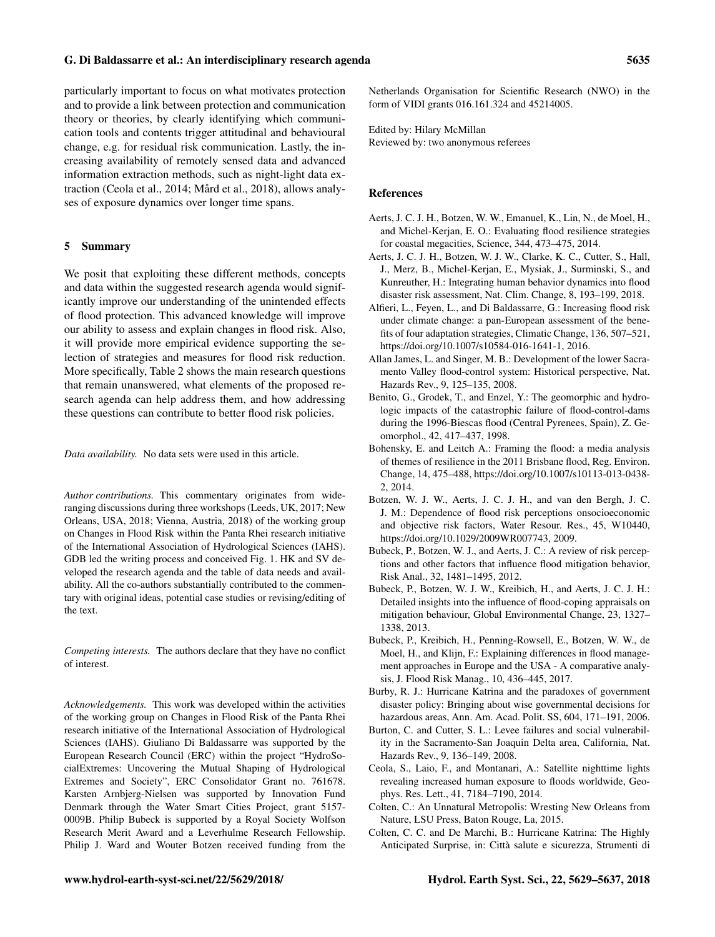#### G. Di Baldassarre et al.: An interdisciplinary research agenda 5635

particularly important to focus on what motivates protection and to provide a link between protection and communication theory or theories, by clearly identifying which communication tools and contents trigger attitudinal and behavioural change, e.g. for residual risk communication. Lastly, the increasing availability of remotely sensed data and advanced information extraction methods, such as night-light data extraction (Ceola et al., 2014; Mård et al., 2018), allows analyses of exposure dynamics over longer time spans.

#### 5 Summary

We posit that exploiting these different methods, concepts and data within the suggested research agenda would significantly improve our understanding of the unintended effects of flood protection. This advanced knowledge will improve our ability to assess and explain changes in flood risk. Also, it will provide more empirical evidence supporting the selection of strategies and measures for flood risk reduction. More specifically, Table 2 shows the main research questions that remain unanswered, what elements of the proposed research agenda can help address them, and how addressing these questions can contribute to better flood risk policies.

*Data availability.* No data sets were used in this article.

*Author contributions.* This commentary originates from wideranging discussions during three workshops (Leeds, UK, 2017; New Orleans, USA, 2018; Vienna, Austria, 2018) of the working group on Changes in Flood Risk within the Panta Rhei research initiative of the International Association of Hydrological Sciences (IAHS). GDB led the writing process and conceived Fig. 1. HK and SV developed the research agenda and the table of data needs and availability. All the co-authors substantially contributed to the commentary with original ideas, potential case studies or revising/editing of the text.

*Competing interests.* The authors declare that they have no conflict of interest.

*Acknowledgements.* This work was developed within the activities of the working group on Changes in Flood Risk of the Panta Rhei research initiative of the International Association of Hydrological Sciences (IAHS). Giuliano Di Baldassarre was supported by the European Research Council (ERC) within the project "HydroSocialExtremes: Uncovering the Mutual Shaping of Hydrological Extremes and Society", ERC Consolidator Grant no. 761678. Karsten Arnbjerg-Nielsen was supported by Innovation Fund Denmark through the Water Smart Cities Project, grant 5157- 0009B. Philip Bubeck is supported by a Royal Society Wolfson Research Merit Award and a Leverhulme Research Fellowship. Philip J. Ward and Wouter Botzen received funding from the

Netherlands Organisation for Scientific Research (NWO) in the form of VIDI grants 016.161.324 and 45214005.

Edited by: Hilary McMillan Reviewed by: two anonymous referees

#### References

- Aerts, J. C. J. H., Botzen, W. W., Emanuel, K., Lin, N., de Moel, H., and Michel-Kerjan, E. O.: Evaluating flood resilience strategies for coastal megacities, Science, 344, 473–475, 2014.
- Aerts, J. C. J. H., Botzen, W. J. W., Clarke, K. C., Cutter, S., Hall, J., Merz, B., Michel-Kerjan, E., Mysiak, J., Surminski, S., and Kunreuther, H.: Integrating human behavior dynamics into flood disaster risk assessment, Nat. Clim. Change, 8, 193–199, 2018.
- Alfieri, L., Feyen, L., and Di Baldassarre, G.: Increasing flood risk under climate change: a pan-European assessment of the benefits of four adaptation strategies, Climatic Change, 136, 507–521, https://doi.org[/10.1007/s10584-016-1641-1,](https://doi.org/10.1007/s10584-016-1641-1) 2016.
- Allan James, L. and Singer, M. B.: Development of the lower Sacramento Valley flood-control system: Historical perspective, Nat. Hazards Rev., 9, 125–135, 2008.
- Benito, G., Grodek, T., and Enzel, Y.: The geomorphic and hydrologic impacts of the catastrophic failure of flood-control-dams during the 1996-Biescas flood (Central Pyrenees, Spain), Z. Geomorphol., 42, 417–437, 1998.
- Bohensky, E. and Leitch A.: Framing the flood: a media analysis of themes of resilience in the 2011 Brisbane flood, Reg. Environ. Change, 14, 475–488, https://doi.org[/10.1007/s10113-013-0438-](https://doi.org/10.1007/s10113-013-0438-2) [2,](https://doi.org/10.1007/s10113-013-0438-2) 2014.
- Botzen, W. J. W., Aerts, J. C. J. H., and van den Bergh, J. C. J. M.: Dependence of flood risk perceptions onsocioeconomic and objective risk factors, Water Resour. Res., 45, W10440, https://doi.org[/10.1029/2009WR007743,](https://doi.org/10.1029/2009WR007743) 2009.
- Bubeck, P., Botzen, W. J., and Aerts, J. C.: A review of risk perceptions and other factors that influence flood mitigation behavior, Risk Anal., 32, 1481–1495, 2012.
- Bubeck, P., Botzen, W. J. W., Kreibich, H., and Aerts, J. C. J. H.: Detailed insights into the influence of flood-coping appraisals on mitigation behaviour, Global Environmental Change, 23, 1327– 1338, 2013.
- Bubeck, P., Kreibich, H., Penning-Rowsell, E., Botzen, W. W., de Moel, H., and Klijn, F.: Explaining differences in flood management approaches in Europe and the USA - A comparative analysis, J. Flood Risk Manag., 10, 436–445, 2017.
- Burby, R. J.: Hurricane Katrina and the paradoxes of government disaster policy: Bringing about wise governmental decisions for hazardous areas, Ann. Am. Acad. Polit. SS, 604, 171–191, 2006.
- Burton, C. and Cutter, S. L.: Levee failures and social vulnerability in the Sacramento-San Joaquin Delta area, California, Nat. Hazards Rev., 9, 136–149, 2008.
- Ceola, S., Laio, F., and Montanari, A.: Satellite nighttime lights revealing increased human exposure to floods worldwide, Geophys. Res. Lett., 41, 7184–7190, 2014.
- Colten, C.: An Unnatural Metropolis: Wresting New Orleans from Nature, LSU Press, Baton Rouge, La, 2015.
- Colten, C. C. and De Marchi, B.: Hurricane Katrina: The Highly Anticipated Surprise, in: Città salute e sicurezza, Strumenti di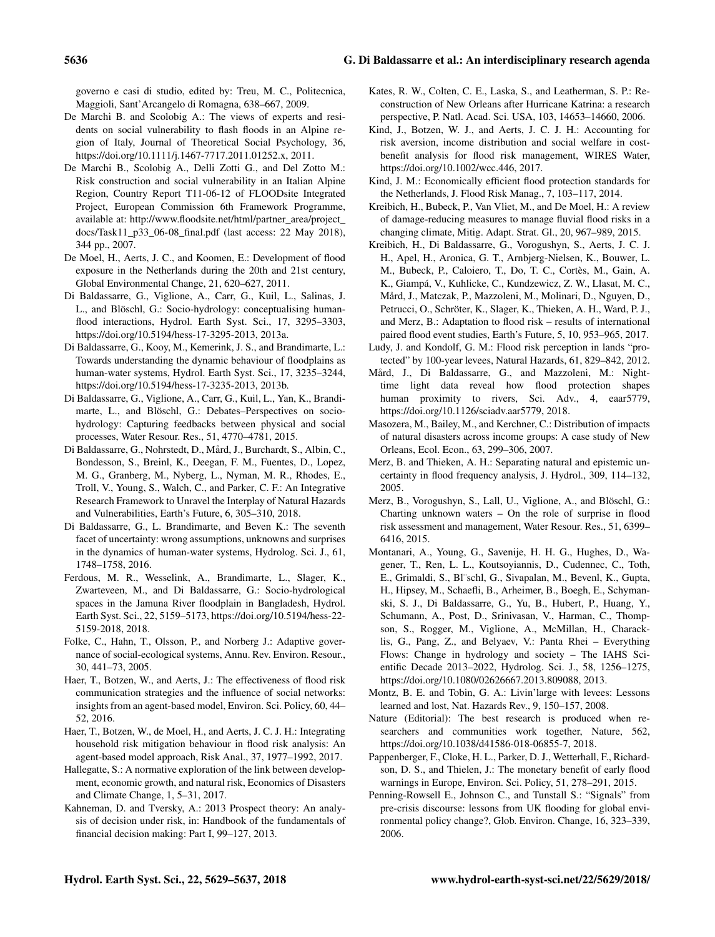#### 5636 G. Di Baldassarre et al.: An interdisciplinary research agenda

governo e casi di studio, edited by: Treu, M. C., Politecnica, Maggioli, Sant'Arcangelo di Romagna, 638–667, 2009.

- De Marchi B. and Scolobig A.: The views of experts and residents on social vulnerability to flash floods in an Alpine region of Italy, Journal of Theoretical Social Psychology, 36, https://doi.org[/10.1111/j.1467-7717.2011.01252.x,](https://doi.org/10.1111/j.1467-7717.2011.01252.x) 2011.
- De Marchi B., Scolobig A., Delli Zotti G., and Del Zotto M.: Risk construction and social vulnerability in an Italian Alpine Region, Country Report T11-06-12 of FLOODsite Integrated Project, European Commission 6th Framework Programme, available at: [http://www.floodsite.net/html/partner\\_area/project\\_](http://www.floodsite.net/html/partner_area/project_docs/Task11_p33_06-08_final.pdf) [docs/Task11\\_p33\\_06-08\\_final.pdf](http://www.floodsite.net/html/partner_area/project_docs/Task11_p33_06-08_final.pdf) (last access: 22 May 2018), 344 pp., 2007.
- De Moel, H., Aerts, J. C., and Koomen, E.: Development of flood exposure in the Netherlands during the 20th and 21st century, Global Environmental Change, 21, 620–627, 2011.
- Di Baldassarre, G., Viglione, A., Carr, G., Kuil, L., Salinas, J. L., and Blöschl, G.: Socio-hydrology: conceptualising humanflood interactions, Hydrol. Earth Syst. Sci., 17, 3295-3303, https://doi.org[/10.5194/hess-17-3295-2013,](https://doi.org/10.5194/hess-17-3295-2013) 2013a.
- Di Baldassarre, G., Kooy, M., Kemerink, J. S., and Brandimarte, L.: Towards understanding the dynamic behaviour of floodplains as human-water systems, Hydrol. Earth Syst. Sci., 17, 3235–3244, https://doi.org[/10.5194/hess-17-3235-2013,](https://doi.org/10.5194/hess-17-3235-2013) 2013b.
- Di Baldassarre, G., Viglione, A., Carr, G., Kuil, L., Yan, K., Brandimarte, L., and Blöschl, G.: Debates–Perspectives on sociohydrology: Capturing feedbacks between physical and social processes, Water Resour. Res., 51, 4770–4781, 2015.
- Di Baldassarre, G., Nohrstedt, D., Mård, J., Burchardt, S., Albin, C., Bondesson, S., Breinl, K., Deegan, F. M., Fuentes, D., Lopez, M. G., Granberg, M., Nyberg, L., Nyman, M. R., Rhodes, E., Troll, V., Young, S., Walch, C., and Parker, C. F.: An Integrative Research Framework to Unravel the Interplay of Natural Hazards and Vulnerabilities, Earth's Future, 6, 305–310, 2018.
- Di Baldassarre, G., L. Brandimarte, and Beven K.: The seventh facet of uncertainty: wrong assumptions, unknowns and surprises in the dynamics of human-water systems, Hydrolog. Sci. J., 61, 1748–1758, 2016.
- Ferdous, M. R., Wesselink, A., Brandimarte, L., Slager, K., Zwarteveen, M., and Di Baldassarre, G.: Socio-hydrological spaces in the Jamuna River floodplain in Bangladesh, Hydrol. Earth Syst. Sci., 22, 5159–5173, https://doi.org[/10.5194/hess-22-](https://doi.org/10.5194/hess-22-5159-2018) [5159-2018,](https://doi.org/10.5194/hess-22-5159-2018) 2018.
- Folke, C., Hahn, T., Olsson, P., and Norberg J.: Adaptive governance of social-ecological systems, Annu. Rev. Environ. Resour., 30, 441–73, 2005.
- Haer, T., Botzen, W., and Aerts, J.: The effectiveness of flood risk communication strategies and the influence of social networks: insights from an agent-based model, Environ. Sci. Policy, 60, 44– 52, 2016.
- Haer, T., Botzen, W., de Moel, H., and Aerts, J. C. J. H.: Integrating household risk mitigation behaviour in flood risk analysis: An agent-based model approach, Risk Anal., 37, 1977–1992, 2017.
- Hallegatte, S.: A normative exploration of the link between development, economic growth, and natural risk, Economics of Disasters and Climate Change, 1, 5–31, 2017.
- Kahneman, D. and Tversky, A.: 2013 Prospect theory: An analysis of decision under risk, in: Handbook of the fundamentals of financial decision making: Part I, 99–127, 2013.
- Kates, R. W., Colten, C. E., Laska, S., and Leatherman, S. P.: Reconstruction of New Orleans after Hurricane Katrina: a research perspective, P. Natl. Acad. Sci. USA, 103, 14653–14660, 2006.
- Kind, J., Botzen, W. J., and Aerts, J. C. J. H.: Accounting for risk aversion, income distribution and social welfare in costbenefit analysis for flood risk management, WIRES Water, https://doi.org[/10.1002/wcc.446,](https://doi.org/10.1002/wcc.446) 2017.
- Kind, J. M.: Economically efficient flood protection standards for the Netherlands, J. Flood Risk Manag., 7, 103–117, 2014.
- Kreibich, H., Bubeck, P., Van Vliet, M., and De Moel, H.: A review of damage-reducing measures to manage fluvial flood risks in a changing climate, Mitig. Adapt. Strat. Gl., 20, 967–989, 2015.
- Kreibich, H., Di Baldassarre, G., Vorogushyn, S., Aerts, J. C. J. H., Apel, H., Aronica, G. T., Arnbjerg-Nielsen, K., Bouwer, L. M., Bubeck, P., Caloiero, T., Do, T. C., Cortès, M., Gain, A. K., Giampá, V., Kuhlicke, C., Kundzewicz, Z. W., Llasat, M. C., Mård, J., Matczak, P., Mazzoleni, M., Molinari, D., Nguyen, D., Petrucci, O., Schröter, K., Slager, K., Thieken, A. H., Ward, P. J., and Merz, B.: Adaptation to flood risk – results of international paired flood event studies, Earth's Future, 5, 10, 953–965, 2017.
- Ludy, J. and Kondolf, G. M.: Flood risk perception in lands "protected" by 100-year levees, Natural Hazards, 61, 829–842, 2012.
- Mård, J., Di Baldassarre, G., and Mazzoleni, M.: Nighttime light data reveal how flood protection shapes human proximity to rivers, Sci. Adv., 4, eaar5779, https://doi.org[/10.1126/sciadv.aar5779,](https://doi.org/10.1126/sciadv.aar5779) 2018.
- Masozera, M., Bailey, M., and Kerchner, C.: Distribution of impacts of natural disasters across income groups: A case study of New Orleans, Ecol. Econ., 63, 299–306, 2007.
- Merz, B. and Thieken, A. H.: Separating natural and epistemic uncertainty in flood frequency analysis, J. Hydrol., 309, 114–132, 2005.
- Merz, B., Vorogushyn, S., Lall, U., Viglione, A., and Blöschl, G.: Charting unknown waters – On the role of surprise in flood risk assessment and management, Water Resour. Res., 51, 6399– 6416, 2015.
- Montanari, A., Young, G., Savenije, H. H. G., Hughes, D., Wagener, T., Ren, L. L., Koutsoyiannis, D., Cudennec, C., Toth, E., Grimaldi, S., Bl¨schl, G., Sivapalan, M., Bevenl, K., Gupta, H., Hipsey, M., Schaefli, B., Arheimer, B., Boegh, E., Schymanski, S. J., Di Baldassarre, G., Yu, B., Hubert, P., Huang, Y., Schumann, A., Post, D., Srinivasan, V., Harman, C., Thompson, S., Rogger, M., Viglione, A., McMillan, H., Characklis, G., Pang, Z., and Belyaev, V.: Panta Rhei – Everything Flows: Change in hydrology and society – The IAHS Scientific Decade 2013–2022, Hydrolog. Sci. J., 58, 1256–1275, https://doi.org[/10.1080/02626667.2013.809088,](https://doi.org/10.1080/02626667.2013.809088) 2013.
- Montz, B. E. and Tobin, G. A.: Livin'large with levees: Lessons learned and lost, Nat. Hazards Rev., 9, 150–157, 2008.
- Nature (Editorial): The best research is produced when researchers and communities work together, Nature, 562, https://doi.org[/10.1038/d41586-018-06855-7,](https://doi.org/10.1038/d41586-018-06855-7) 2018.
- Pappenberger, F., Cloke, H. L., Parker, D. J., Wetterhall, F., Richardson, D. S., and Thielen, J.: The monetary benefit of early flood warnings in Europe, Environ. Sci. Policy, 51, 278–291, 2015.
- Penning-Rowsell E., Johnson C., and Tunstall S.: "Signals" from pre-crisis discourse: lessons from UK flooding for global environmental policy change?, Glob. Environ. Change, 16, 323–339, 2006.